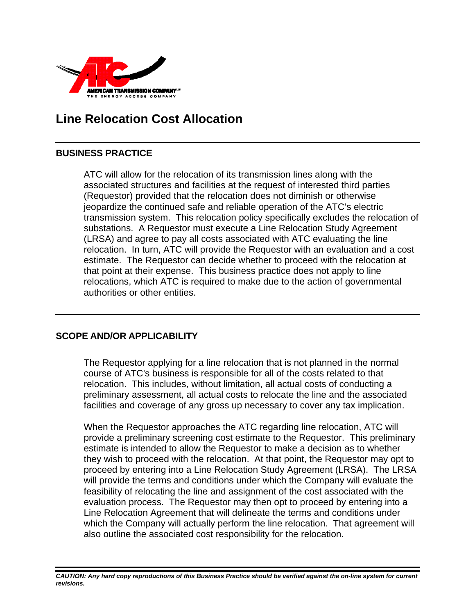

# **Line Relocation Cost Allocation**

### **BUSINESS PRACTICE**

ATC will allow for the relocation of its transmission lines along with the associated structures and facilities at the request of interested third parties (Requestor) provided that the relocation does not diminish or otherwise jeopardize the continued safe and reliable operation of the ATC's electric transmission system. This relocation policy specifically excludes the relocation of substations. A Requestor must execute a Line Relocation Study Agreement (LRSA) and agree to pay all costs associated with ATC evaluating the line relocation. In turn, ATC will provide the Requestor with an evaluation and a cost estimate. The Requestor can decide whether to proceed with the relocation at that point at their expense. This business practice does not apply to line relocations, which ATC is required to make due to the action of governmental authorities or other entities.

### **SCOPE AND/OR APPLICABILITY**

The Requestor applying for a line relocation that is not planned in the normal course of ATC's business is responsible for all of the costs related to that relocation. This includes, without limitation, all actual costs of conducting a preliminary assessment, all actual costs to relocate the line and the associated facilities and coverage of any gross up necessary to cover any tax implication.

When the Requestor approaches the ATC regarding line relocation, ATC will provide a preliminary screening cost estimate to the Requestor. This preliminary estimate is intended to allow the Requestor to make a decision as to whether they wish to proceed with the relocation. At that point, the Requestor may opt to proceed by entering into a Line Relocation Study Agreement (LRSA). The LRSA will provide the terms and conditions under which the Company will evaluate the feasibility of relocating the line and assignment of the cost associated with the evaluation process. The Requestor may then opt to proceed by entering into a Line Relocation Agreement that will delineate the terms and conditions under which the Company will actually perform the line relocation. That agreement will also outline the associated cost responsibility for the relocation.

*CAUTION: Any hard copy reproductions of this Business Practice should be verified against the on-line system for current revisions.*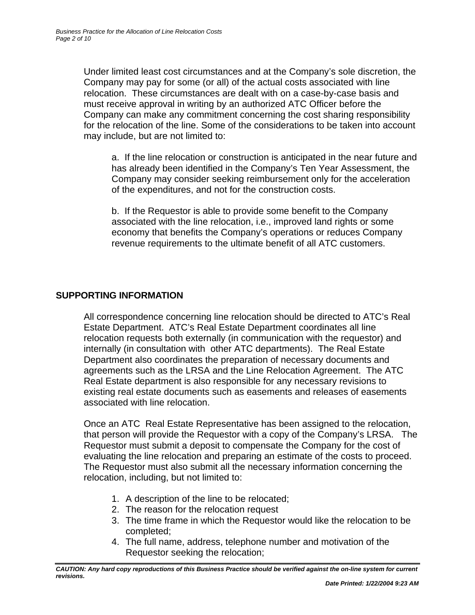Under limited least cost circumstances and at the Company's sole discretion, the Company may pay for some (or all) of the actual costs associated with line relocation. These circumstances are dealt with on a case-by-case basis and must receive approval in writing by an authorized ATC Officer before the Company can make any commitment concerning the cost sharing responsibility for the relocation of the line. Some of the considerations to be taken into account may include, but are not limited to:

a. If the line relocation or construction is anticipated in the near future and has already been identified in the Company's Ten Year Assessment, the Company may consider seeking reimbursement only for the acceleration of the expenditures, and not for the construction costs.

b. If the Requestor is able to provide some benefit to the Company associated with the line relocation, i.e., improved land rights or some economy that benefits the Company's operations or reduces Company revenue requirements to the ultimate benefit of all ATC customers.

### **SUPPORTING INFORMATION**

All correspondence concerning line relocation should be directed to ATC's Real Estate Department. ATC's Real Estate Department coordinates all line relocation requests both externally (in communication with the requestor) and internally (in consultation with other ATC departments). The Real Estate Department also coordinates the preparation of necessary documents and agreements such as the LRSA and the Line Relocation Agreement. The ATC Real Estate department is also responsible for any necessary revisions to existing real estate documents such as easements and releases of easements associated with line relocation.

Once an ATC Real Estate Representative has been assigned to the relocation, that person will provide the Requestor with a copy of the Company's LRSA. The Requestor must submit a deposit to compensate the Company for the cost of evaluating the line relocation and preparing an estimate of the costs to proceed. The Requestor must also submit all the necessary information concerning the relocation, including, but not limited to:

- 1. A description of the line to be relocated;
- 2. The reason for the relocation request
- 3. The time frame in which the Requestor would like the relocation to be completed;
- 4. The full name, address, telephone number and motivation of the Requestor seeking the relocation;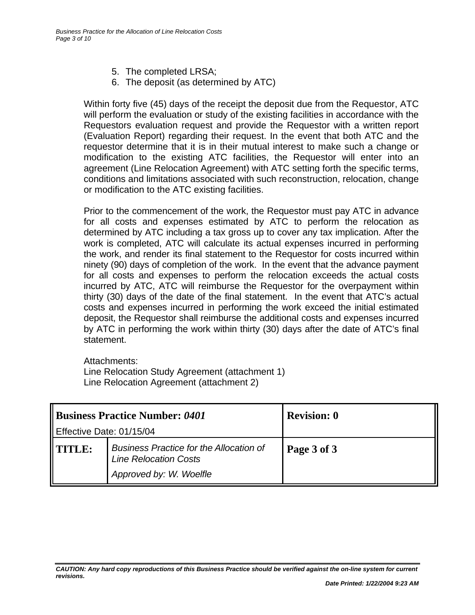- 5. The completed LRSA;
- 6. The deposit (as determined by ATC)

Within forty five (45) days of the receipt the deposit due from the Requestor, ATC will perform the evaluation or study of the existing facilities in accordance with the Requestors evaluation request and provide the Requestor with a written report (Evaluation Report) regarding their request. In the event that both ATC and the requestor determine that it is in their mutual interest to make such a change or modification to the existing ATC facilities, the Requestor will enter into an agreement (Line Relocation Agreement) with ATC setting forth the specific terms, conditions and limitations associated with such reconstruction, relocation, change or modification to the ATC existing facilities.

Prior to the commencement of the work, the Requestor must pay ATC in advance for all costs and expenses estimated by ATC to perform the relocation as determined by ATC including a tax gross up to cover any tax implication. After the work is completed, ATC will calculate its actual expenses incurred in performing the work, and render its final statement to the Requestor for costs incurred within ninety (90) days of completion of the work. In the event that the advance payment for all costs and expenses to perform the relocation exceeds the actual costs incurred by ATC, ATC will reimburse the Requestor for the overpayment within thirty (30) days of the date of the final statement. In the event that ATC's actual costs and expenses incurred in performing the work exceed the initial estimated deposit, the Requestor shall reimburse the additional costs and expenses incurred by ATC in performing the work within thirty (30) days after the date of ATC's final statement.

Attachments:

Line Relocation Study Agreement (attachment 1) Line Relocation Agreement (attachment 2)

| <b>Business Practice Number: 0401</b> |                                                                                                           | <b>Revision: 0</b> |
|---------------------------------------|-----------------------------------------------------------------------------------------------------------|--------------------|
| Effective Date: 01/15/04              |                                                                                                           |                    |
| TITLE:                                | <b>Business Practice for the Allocation of</b><br><b>Line Relocation Costs</b><br>Approved by: W. Woelfle | Page 3 of 3        |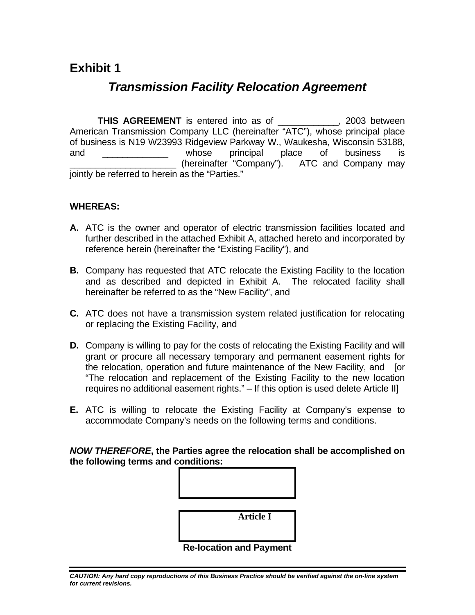## **Exhibit 1**

## *Transmission Facility Relocation Agreement*

 **THIS AGREEMENT** is entered into as of \_\_\_\_\_\_\_\_\_\_\_\_, 2003 between American Transmission Company LLC (hereinafter "ATC"), whose principal place of business is N19 W23993 Ridgeview Parkway W., Waukesha, Wisconsin 53188, and \_\_\_\_\_\_\_\_\_\_\_\_\_\_ whose principal place of business is (hereinafter "Company"). ATC and Company may jointly be referred to herein as the "Parties."

### **WHEREAS:**

- **A.** ATC is the owner and operator of electric transmission facilities located and further described in the attached Exhibit A, attached hereto and incorporated by reference herein (hereinafter the "Existing Facility"), and
- **B.** Company has requested that ATC relocate the Existing Facility to the location and as described and depicted in Exhibit A. The relocated facility shall hereinafter be referred to as the "New Facility", and
- **C.** ATC does not have a transmission system related justification for relocating or replacing the Existing Facility, and
- **D.** Company is willing to pay for the costs of relocating the Existing Facility and will grant or procure all necessary temporary and permanent easement rights for the relocation, operation and future maintenance of the New Facility, and [or "The relocation and replacement of the Existing Facility to the new location requires no additional easement rights." – If this option is used delete Article II]
- **E.** ATC is willing to relocate the Existing Facility at Company's expense to accommodate Company's needs on the following terms and conditions.

*NOW THEREFORE***, the Parties agree the relocation shall be accomplished on the following terms and conditions:** 

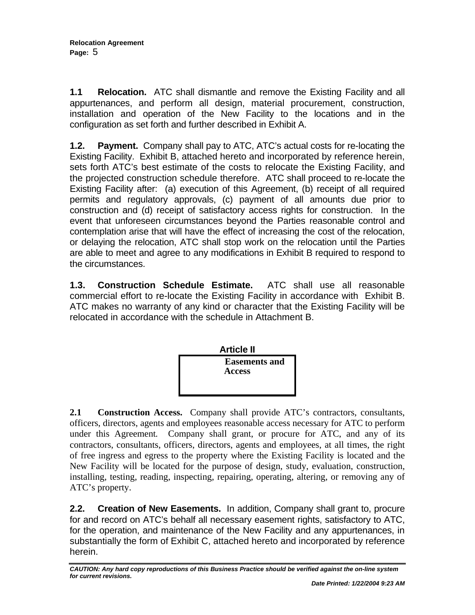**1.1 Relocation.** ATC shall dismantle and remove the Existing Facility and all appurtenances, and perform all design, material procurement, construction, installation and operation of the New Facility to the locations and in the configuration as set forth and further described in Exhibit A.

**1.2. Payment.** Company shall pay to ATC, ATC's actual costs for re-locating the Existing Facility. Exhibit B, attached hereto and incorporated by reference herein, sets forth ATC's best estimate of the costs to relocate the Existing Facility, and the projected construction schedule therefore. ATC shall proceed to re-locate the Existing Facility after: (a) execution of this Agreement, (b) receipt of all required permits and regulatory approvals, (c) payment of all amounts due prior to construction and (d) receipt of satisfactory access rights for construction. In the event that unforeseen circumstances beyond the Parties reasonable control and contemplation arise that will have the effect of increasing the cost of the relocation, or delaying the relocation, ATC shall stop work on the relocation until the Parties are able to meet and agree to any modifications in Exhibit B required to respond to the circumstances.

**1.3. Construction Schedule Estimate.** ATC shall use all reasonable commercial effort to re-locate the Existing Facility in accordance with Exhibit B. ATC makes no warranty of any kind or character that the Existing Facility will be relocated in accordance with the schedule in Attachment B.



**2.1 Construction Access.** Company shall provide ATC's contractors, consultants, officers, directors, agents and employees reasonable access necessary for ATC to perform under this Agreement*.* Company shall grant, or procure for ATC, and any of its contractors, consultants, officers, directors, agents and employees, at all times, the right of free ingress and egress to the property where the Existing Facility is located and the New Facility will be located for the purpose of design, study, evaluation, construction, installing, testing, reading, inspecting, repairing, operating, altering, or removing any of ATC's property.

**2.2. Creation of New Easements.** In addition, Company shall grant to, procure for and record on ATC's behalf all necessary easement rights, satisfactory to ATC, for the operation, and maintenance of the New Facility and any appurtenances, in substantially the form of Exhibit C, attached hereto and incorporated by reference herein.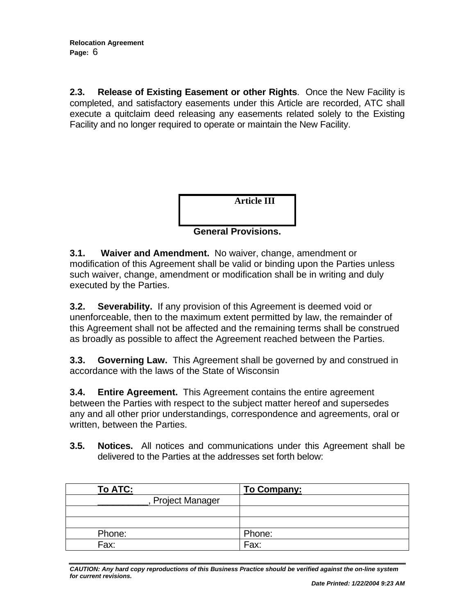**2.3. Release of Existing Easement or other Rights**. Once the New Facility is completed, and satisfactory easements under this Article are recorded, ATC shall execute a quitclaim deed releasing any easements related solely to the Existing Facility and no longer required to operate or maintain the New Facility.



**3.1. Waiver and Amendment.** No waiver, change, amendment or modification of this Agreement shall be valid or binding upon the Parties unless such waiver, change, amendment or modification shall be in writing and duly executed by the Parties.

**3.2. Severability.** If any provision of this Agreement is deemed void or unenforceable, then to the maximum extent permitted by law, the remainder of this Agreement shall not be affected and the remaining terms shall be construed as broadly as possible to affect the Agreement reached between the Parties.

**3.3. Governing Law.** This Agreement shall be governed by and construed in accordance with the laws of the State of Wisconsin

**3.4. Entire Agreement.** This Agreement contains the entire agreement between the Parties with respect to the subject matter hereof and supersedes any and all other prior understandings, correspondence and agreements, oral or written, between the Parties.

**3.5. Notices.** All notices and communications under this Agreement shall be delivered to the Parties at the addresses set forth below:

| To ATC:                | To Company: |
|------------------------|-------------|
| <b>Project Manager</b> |             |
|                        |             |
|                        |             |
| Phone:                 | Phone:      |
| Fax:                   | Fax:        |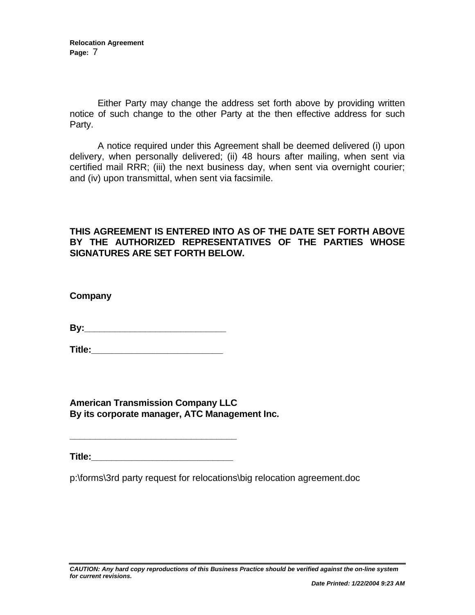**Relocation Agreement Page:** 7

Either Party may change the address set forth above by providing written notice of such change to the other Party at the then effective address for such Party.

A notice required under this Agreement shall be deemed delivered (i) upon delivery, when personally delivered; (ii) 48 hours after mailing, when sent via certified mail RRR; (iii) the next business day, when sent via overnight courier; and (iv) upon transmittal, when sent via facsimile.

### **THIS AGREEMENT IS ENTERED INTO AS OF THE DATE SET FORTH ABOVE BY THE AUTHORIZED REPRESENTATIVES OF THE PARTIES WHOSE SIGNATURES ARE SET FORTH BELOW.**

**Company**

**By:\_\_\_\_\_\_\_\_\_\_\_\_\_\_\_\_\_\_\_\_\_\_\_\_\_\_\_\_** 

**Title:\_\_\_\_\_\_\_\_\_\_\_\_\_\_\_\_\_\_\_\_\_\_\_\_\_\_** 

**American Transmission Company LLC By its corporate manager, ATC Management Inc.**

**Title:\_\_\_\_\_\_\_\_\_\_\_\_\_\_\_\_\_\_\_\_\_\_\_\_\_\_\_\_** 

**\_\_\_\_\_\_\_\_\_\_\_\_\_\_\_\_\_\_\_\_\_\_\_\_\_\_\_\_\_\_\_\_\_** 

p:\forms\3rd party request for relocations\big relocation agreement.doc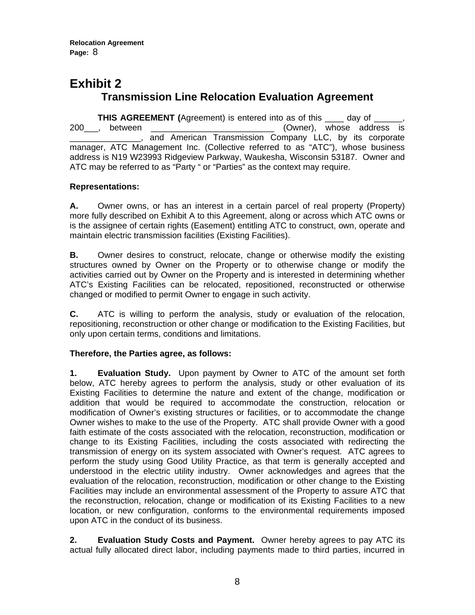**Relocation Agreement Page:** 8

### **Exhibit 2 Transmission Line Relocation Evaluation Agreement**

**THIS AGREEMENT** (Agreement) is entered into as of this \_\_\_\_ day of 200\_\_\_, between \_\_\_\_\_\_\_\_\_\_\_\_\_\_\_\_\_\_\_\_\_\_\_\_\_\_ (Owner), whose address is \_\_\_\_\_\_\_\_\_\_\_\_\_\_\_, and American Transmission Company LLC, by its corporate manager, ATC Management Inc. (Collective referred to as "ATC"), whose business address is N19 W23993 Ridgeview Parkway, Waukesha, Wisconsin 53187. Owner and ATC may be referred to as "Party " or "Parties" as the context may require.

#### **Representations:**

**A.** Owner owns, or has an interest in a certain parcel of real property (Property) more fully described on Exhibit A to this Agreement, along or across which ATC owns or is the assignee of certain rights (Easement) entitling ATC to construct, own, operate and maintain electric transmission facilities (Existing Facilities).

**B.** Owner desires to construct, relocate, change or otherwise modify the existing structures owned by Owner on the Property or to otherwise change or modify the activities carried out by Owner on the Property and is interested in determining whether ATC's Existing Facilities can be relocated, repositioned, reconstructed or otherwise changed or modified to permit Owner to engage in such activity.

**C.** ATC is willing to perform the analysis, study or evaluation of the relocation, repositioning, reconstruction or other change or modification to the Existing Facilities, but only upon certain terms, conditions and limitations.

#### **Therefore, the Parties agree, as follows:**

**1. Evaluation Study.** Upon payment by Owner to ATC of the amount set forth below, ATC hereby agrees to perform the analysis, study or other evaluation of its Existing Facilities to determine the nature and extent of the change, modification or addition that would be required to accommodate the construction, relocation or modification of Owner's existing structures or facilities, or to accommodate the change Owner wishes to make to the use of the Property. ATC shall provide Owner with a good faith estimate of the costs associated with the relocation, reconstruction, modification or change to its Existing Facilities, including the costs associated with redirecting the transmission of energy on its system associated with Owner's request. ATC agrees to perform the study using Good Utility Practice, as that term is generally accepted and understood in the electric utility industry. Owner acknowledges and agrees that the evaluation of the relocation, reconstruction, modification or other change to the Existing Facilities may include an environmental assessment of the Property to assure ATC that the reconstruction, relocation, change or modification of its Existing Facilities to a new location, or new configuration, conforms to the environmental requirements imposed upon ATC in the conduct of its business.

**2. Evaluation Study Costs and Payment.** Owner hereby agrees to pay ATC its actual fully allocated direct labor, including payments made to third parties, incurred in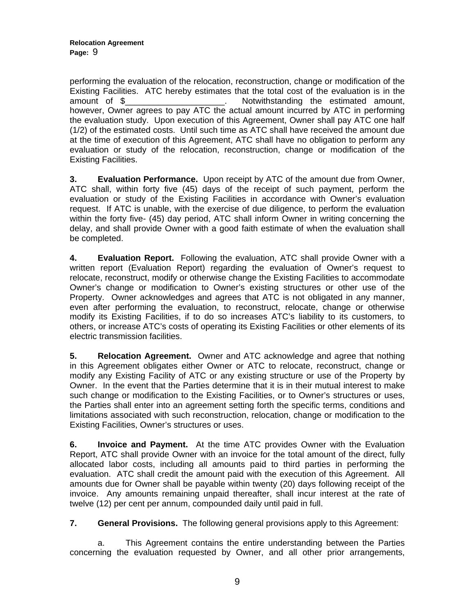performing the evaluation of the relocation, reconstruction, change or modification of the Existing Facilities. ATC hereby estimates that the total cost of the evaluation is in the amount of \$\_\_\_\_\_\_\_\_\_\_\_\_\_\_\_\_\_\_\_\_\_. Notwithstanding the estimated amount, however, Owner agrees to pay ATC the actual amount incurred by ATC in performing the evaluation study. Upon execution of this Agreement, Owner shall pay ATC one half (1/2) of the estimated costs. Until such time as ATC shall have received the amount due at the time of execution of this Agreement, ATC shall have no obligation to perform any evaluation or study of the relocation, reconstruction, change or modification of the Existing Facilities.

**3. Evaluation Performance.** Upon receipt by ATC of the amount due from Owner, ATC shall, within forty five (45) days of the receipt of such payment, perform the evaluation or study of the Existing Facilities in accordance with Owner's evaluation request. If ATC is unable, with the exercise of due diligence, to perform the evaluation within the forty five- (45) day period, ATC shall inform Owner in writing concerning the delay, and shall provide Owner with a good faith estimate of when the evaluation shall be completed.

**4. Evaluation Report.** Following the evaluation, ATC shall provide Owner with a written report (Evaluation Report) regarding the evaluation of Owner's request to relocate, reconstruct, modify or otherwise change the Existing Facilities to accommodate Owner's change or modification to Owner's existing structures or other use of the Property. Owner acknowledges and agrees that ATC is not obligated in any manner, even after performing the evaluation, to reconstruct, relocate, change or otherwise modify its Existing Facilities, if to do so increases ATC's liability to its customers, to others, or increase ATC's costs of operating its Existing Facilities or other elements of its electric transmission facilities.

**5. Relocation Agreement.** Owner and ATC acknowledge and agree that nothing in this Agreement obligates either Owner or ATC to relocate, reconstruct, change or modify any Existing Facility of ATC or any existing structure or use of the Property by Owner. In the event that the Parties determine that it is in their mutual interest to make such change or modification to the Existing Facilities, or to Owner's structures or uses, the Parties shall enter into an agreement setting forth the specific terms, conditions and limitations associated with such reconstruction, relocation, change or modification to the Existing Facilities, Owner's structures or uses.

**6. Invoice and Payment.** At the time ATC provides Owner with the Evaluation Report, ATC shall provide Owner with an invoice for the total amount of the direct, fully allocated labor costs, including all amounts paid to third parties in performing the evaluation. ATC shall credit the amount paid with the execution of this Agreement. All amounts due for Owner shall be payable within twenty (20) days following receipt of the invoice. Any amounts remaining unpaid thereafter, shall incur interest at the rate of twelve (12) per cent per annum, compounded daily until paid in full.

**7. General Provisions.** The following general provisions apply to this Agreement:

a. This Agreement contains the entire understanding between the Parties concerning the evaluation requested by Owner, and all other prior arrangements,